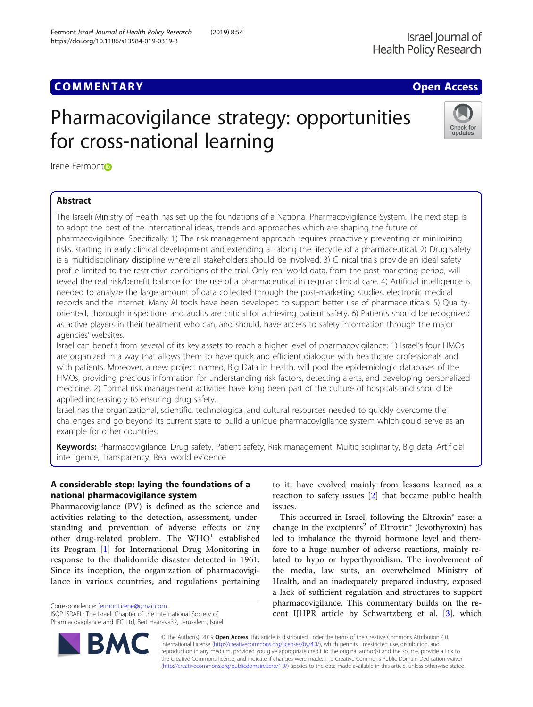### **COMMENTARY COMMENTARY COMMENTARY**

# Pharmacovigilance strategy: opportunities for cross-national learning



Irene Fermon[t](http://orcid.org/0000-0002-3233-799X)<sub>i</sub>o

#### Abstract

The Israeli Ministry of Health has set up the foundations of a National Pharmacovigilance System. The next step is to adopt the best of the international ideas, trends and approaches which are shaping the future of pharmacovigilance. Specifically: 1) The risk management approach requires proactively preventing or minimizing risks, starting in early clinical development and extending all along the lifecycle of a pharmaceutical. 2) Drug safety is a multidisciplinary discipline where all stakeholders should be involved. 3) Clinical trials provide an ideal safety profile limited to the restrictive conditions of the trial. Only real-world data, from the post marketing period, will reveal the real risk/benefit balance for the use of a pharmaceutical in regular clinical care. 4) Artificial intelligence is needed to analyze the large amount of data collected through the post-marketing studies, electronic medical records and the internet. Many AI tools have been developed to support better use of pharmaceuticals. 5) Qualityoriented, thorough inspections and audits are critical for achieving patient safety. 6) Patients should be recognized as active players in their treatment who can, and should, have access to safety information through the major agencies' websites.

Israel can benefit from several of its key assets to reach a higher level of pharmacovigilance: 1) Israel's four HMOs are organized in a way that allows them to have quick and efficient dialogue with healthcare professionals and with patients. Moreover, a new project named, Big Data in Health, will pool the epidemiologic databases of the HMOs, providing precious information for understanding risk factors, detecting alerts, and developing personalized medicine. 2) Formal risk management activities have long been part of the culture of hospitals and should be applied increasingly to ensuring drug safety.

Israel has the organizational, scientific, technological and cultural resources needed to quickly overcome the challenges and go beyond its current state to build a unique pharmacovigilance system which could serve as an example for other countries.

Keywords: Pharmacovigilance, Drug safety, Patient safety, Risk management, Multidisciplinarity, Big data, Artificial intelligence, Transparency, Real world evidence

#### A considerable step: laying the foundations of a national pharmacovigilance system

Pharmacovigilance (PV) is defined as the science and activities relating to the detection, assessment, understanding and prevention of adverse effects or any other drug-related problem. The  $WHO<sup>1</sup>$  established its Program [\[1](#page-4-0)] for International Drug Monitoring in response to the thalidomide disaster detected in 1961. Since its inception, the organization of pharmacovigilance in various countries, and regulations pertaining

Correspondence: [fermont.irene@gmail.com](mailto:fermont.irene@gmail.com)

R,

ISOP ISRAEL: The Israeli Chapter of the International Society of Pharmacovigilance and IFC Ltd, Beit Haarava32, Jerusalem, Israel



This occurred in Israel, following the Eltroxin® case: a change in the excipients<sup>2</sup> of Eltroxin<sup>®</sup> (levothyroxin) has led to imbalance the thyroid hormone level and therefore to a huge number of adverse reactions, mainly related to hypo or hyperthyroidism. The involvement of the media, law suits, an overwhelmed Ministry of Health, and an inadequately prepared industry, exposed a lack of sufficient regulation and structures to support pharmacovigilance. This commentary builds on the recent IJHPR article by Schwartzberg et al. [\[3\]](#page-4-0). which

© The Author(s). 2019 Open Access This article is distributed under the terms of the Creative Commons Attribution 4.0 International License [\(http://creativecommons.org/licenses/by/4.0/](http://creativecommons.org/licenses/by/4.0/)), which permits unrestricted use, distribution, and reproduction in any medium, provided you give appropriate credit to the original author(s) and the source, provide a link to the Creative Commons license, and indicate if changes were made. The Creative Commons Public Domain Dedication waiver [\(http://creativecommons.org/publicdomain/zero/1.0/](http://creativecommons.org/publicdomain/zero/1.0/)) applies to the data made available in this article, unless otherwise stated.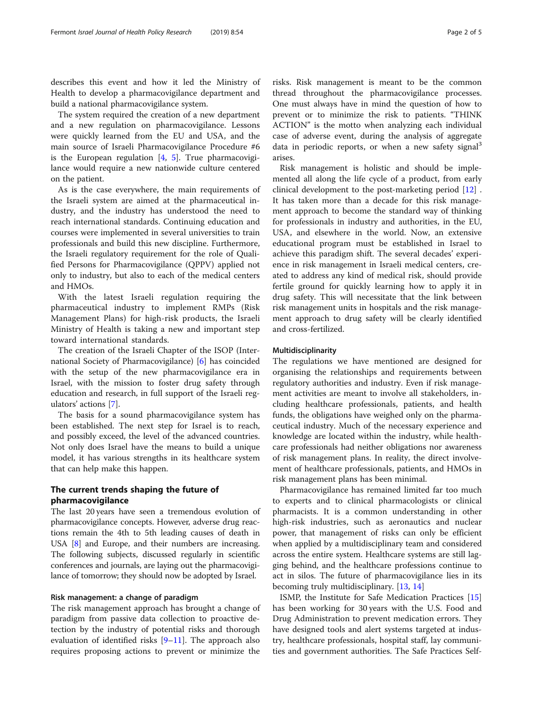describes this event and how it led the Ministry of Health to develop a pharmacovigilance department and build a national pharmacovigilance system.

The system required the creation of a new department and a new regulation on pharmacovigilance. Lessons were quickly learned from the EU and USA, and the main source of Israeli Pharmacovigilance Procedure #6 is the European regulation  $[4, 5]$  $[4, 5]$  $[4, 5]$  $[4, 5]$ . True pharmacovigilance would require a new nationwide culture centered on the patient.

As is the case everywhere, the main requirements of the Israeli system are aimed at the pharmaceutical industry, and the industry has understood the need to reach international standards. Continuing education and courses were implemented in several universities to train professionals and build this new discipline. Furthermore, the Israeli regulatory requirement for the role of Qualified Persons for Pharmacovigilance (QPPV) applied not only to industry, but also to each of the medical centers and HMOs.

With the latest Israeli regulation requiring the pharmaceutical industry to implement RMPs (Risk Management Plans) for high-risk products, the Israeli Ministry of Health is taking a new and important step toward international standards.

The creation of the Israeli Chapter of the ISOP (International Society of Pharmacovigilance) [[6\]](#page-4-0) has coincided with the setup of the new pharmacovigilance era in Israel, with the mission to foster drug safety through education and research, in full support of the Israeli regulators' actions [\[7](#page-4-0)].

The basis for a sound pharmacovigilance system has been established. The next step for Israel is to reach, and possibly exceed, the level of the advanced countries. Not only does Israel have the means to build a unique model, it has various strengths in its healthcare system that can help make this happen.

#### The current trends shaping the future of pharmacovigilance

The last 20 years have seen a tremendous evolution of pharmacovigilance concepts. However, adverse drug reactions remain the 4th to 5th leading causes of death in USA [\[8\]](#page-4-0) and Europe, and their numbers are increasing. The following subjects, discussed regularly in scientific conferences and journals, are laying out the pharmacovigilance of tomorrow; they should now be adopted by Israel.

#### Risk management: a change of paradigm

The risk management approach has brought a change of paradigm from passive data collection to proactive detection by the industry of potential risks and thorough evaluation of identified risks [[9](#page-4-0)–[11\]](#page-4-0). The approach also requires proposing actions to prevent or minimize the

risks. Risk management is meant to be the common thread throughout the pharmacovigilance processes. One must always have in mind the question of how to prevent or to minimize the risk to patients. "THINK ACTION" is the motto when analyzing each individual case of adverse event, during the analysis of aggregate data in periodic reports, or when a new safety signal<sup>3</sup> arises.

Risk management is holistic and should be implemented all along the life cycle of a product, from early clinical development to the post-marketing period [[12\]](#page-4-0) . It has taken more than a decade for this risk management approach to become the standard way of thinking for professionals in industry and authorities, in the EU, USA, and elsewhere in the world. Now, an extensive educational program must be established in Israel to achieve this paradigm shift. The several decades' experience in risk management in Israeli medical centers, created to address any kind of medical risk, should provide fertile ground for quickly learning how to apply it in drug safety. This will necessitate that the link between risk management units in hospitals and the risk management approach to drug safety will be clearly identified and cross-fertilized.

#### Multidisciplinarity

The regulations we have mentioned are designed for organising the relationships and requirements between regulatory authorities and industry. Even if risk management activities are meant to involve all stakeholders, including healthcare professionals, patients, and health funds, the obligations have weighed only on the pharmaceutical industry. Much of the necessary experience and knowledge are located within the industry, while healthcare professionals had neither obligations nor awareness of risk management plans. In reality, the direct involvement of healthcare professionals, patients, and HMOs in risk management plans has been minimal.

Pharmacovigilance has remained limited far too much to experts and to clinical pharmacologists or clinical pharmacists. It is a common understanding in other high-risk industries, such as aeronautics and nuclear power, that management of risks can only be efficient when applied by a multidisciplinary team and considered across the entire system. Healthcare systems are still lagging behind, and the healthcare professions continue to act in silos. The future of pharmacovigilance lies in its becoming truly multidisciplinary. [\[13](#page-4-0), [14](#page-4-0)]

ISMP, the Institute for Safe Medication Practices [[15](#page-4-0)] has been working for 30 years with the U.S. Food and Drug Administration to prevent medication errors. They have designed tools and alert systems targeted at industry, healthcare professionals, hospital staff, lay communities and government authorities. The Safe Practices Self-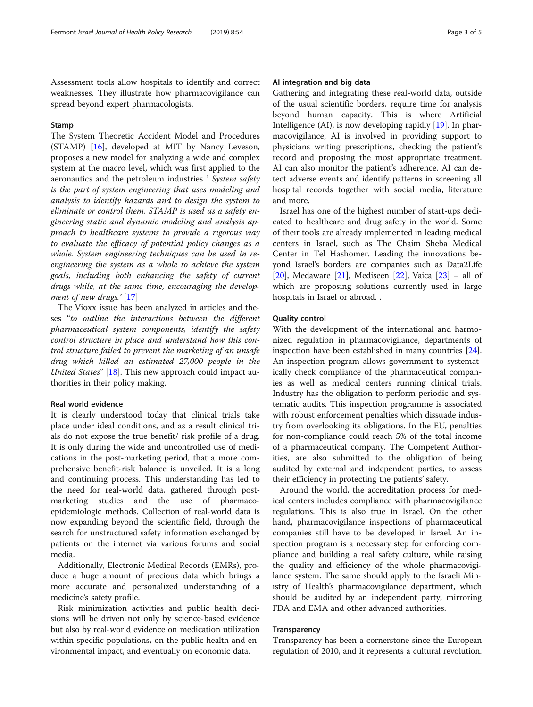#### Stamp

The System Theoretic Accident Model and Procedures (STAMP) [\[16](#page-4-0)], developed at MIT by Nancy Leveson, proposes a new model for analyzing a wide and complex system at the macro level, which was first applied to the aeronautics and the petroleum industries..' System safety is the part of system engineering that uses modeling and analysis to identify hazards and to design the system to eliminate or control them. STAMP is used as a safety engineering static and dynamic modeling and analysis approach to healthcare systems to provide a rigorous way to evaluate the efficacy of potential policy changes as a whole. System engineering techniques can be used in reengineering the system as a whole to achieve the system goals, including both enhancing the safety of current drugs while, at the same time, encouraging the develop-ment of new drugs.' [[17](#page-4-0)]

The Vioxx issue has been analyzed in articles and theses "to outline the interactions between the different pharmaceutical system components, identify the safety control structure in place and understand how this control structure failed to prevent the marketing of an unsafe drug which killed an estimated 27,000 people in the United States" [\[18](#page-4-0)]. This new approach could impact authorities in their policy making.

#### Real world evidence

It is clearly understood today that clinical trials take place under ideal conditions, and as a result clinical trials do not expose the true benefit/ risk profile of a drug. It is only during the wide and uncontrolled use of medications in the post-marketing period, that a more comprehensive benefit-risk balance is unveiled. It is a long and continuing process. This understanding has led to the need for real-world data, gathered through postmarketing studies and the use of pharmacoepidemiologic methods. Collection of real-world data is now expanding beyond the scientific field, through the search for unstructured safety information exchanged by patients on the internet via various forums and social media.

Additionally, Electronic Medical Records (EMRs), produce a huge amount of precious data which brings a more accurate and personalized understanding of a medicine's safety profile.

Risk minimization activities and public health decisions will be driven not only by science-based evidence but also by real-world evidence on medication utilization within specific populations, on the public health and environmental impact, and eventually on economic data.

#### AI integration and big data

Gathering and integrating these real-world data, outside of the usual scientific borders, require time for analysis beyond human capacity. This is where Artificial Intelligence (AI), is now developing rapidly [\[19\]](#page-4-0). In pharmacovigilance, AI is involved in providing support to physicians writing prescriptions, checking the patient's record and proposing the most appropriate treatment. AI can also monitor the patient's adherence. AI can detect adverse events and identify patterns in screening all hospital records together with social media, literature and more.

Israel has one of the highest number of start-ups dedicated to healthcare and drug safety in the world. Some of their tools are already implemented in leading medical centers in Israel, such as The Chaim Sheba Medical Center in Tel Hashomer. Leading the innovations beyond Israel's borders are companies such as Data2Life [[20\]](#page-4-0), Medaware [[21\]](#page-4-0), Mediseen [\[22](#page-4-0)], Vaica [\[23\]](#page-4-0) – all of which are proposing solutions currently used in large hospitals in Israel or abroad. .

#### Quality control

With the development of the international and harmonized regulation in pharmacovigilance, departments of inspection have been established in many countries [\[24](#page-4-0)]. An inspection program allows government to systematically check compliance of the pharmaceutical companies as well as medical centers running clinical trials. Industry has the obligation to perform periodic and systematic audits. This inspection programme is associated with robust enforcement penalties which dissuade industry from overlooking its obligations. In the EU, penalties for non-compliance could reach 5% of the total income of a pharmaceutical company. The Competent Authorities, are also submitted to the obligation of being audited by external and independent parties, to assess their efficiency in protecting the patients' safety.

Around the world, the accreditation process for medical centers includes compliance with pharmacovigilance regulations. This is also true in Israel. On the other hand, pharmacovigilance inspections of pharmaceutical companies still have to be developed in Israel. An inspection program is a necessary step for enforcing compliance and building a real safety culture, while raising the quality and efficiency of the whole pharmacovigilance system. The same should apply to the Israeli Ministry of Health's pharmacovigilance department, which should be audited by an independent party, mirroring FDA and EMA and other advanced authorities.

#### Transparency

Transparency has been a cornerstone since the European regulation of 2010, and it represents a cultural revolution.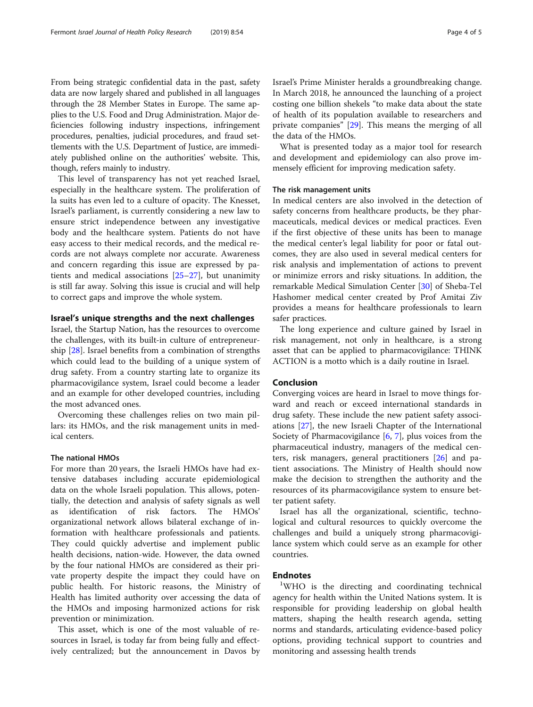From being strategic confidential data in the past, safety data are now largely shared and published in all languages through the 28 Member States in Europe. The same applies to the U.S. Food and Drug Administration. Major deficiencies following industry inspections, infringement procedures, penalties, judicial procedures, and fraud settlements with the U.S. Department of Justice, are immediately published online on the authorities' website. This, though, refers mainly to industry.

This level of transparency has not yet reached Israel, especially in the healthcare system. The proliferation of la suits has even led to a culture of opacity. The Knesset, Israel's parliament, is currently considering a new law to ensure strict independence between any investigative body and the healthcare system. Patients do not have easy access to their medical records, and the medical records are not always complete nor accurate. Awareness and concern regarding this issue are expressed by patients and medical associations [[25](#page-4-0)–[27](#page-4-0)], but unanimity is still far away. Solving this issue is crucial and will help to correct gaps and improve the whole system.

#### Israel's unique strengths and the next challenges

Israel, the Startup Nation, has the resources to overcome the challenges, with its built-in culture of entrepreneurship [[28\]](#page-4-0). Israel benefits from a combination of strengths which could lead to the building of a unique system of drug safety. From a country starting late to organize its pharmacovigilance system, Israel could become a leader and an example for other developed countries, including the most advanced ones.

Overcoming these challenges relies on two main pillars: its HMOs, and the risk management units in medical centers.

#### The national HMOs

For more than 20 years, the Israeli HMOs have had extensive databases including accurate epidemiological data on the whole Israeli population. This allows, potentially, the detection and analysis of safety signals as well identification of risk factors. The HMOs' organizational network allows bilateral exchange of information with healthcare professionals and patients. They could quickly advertise and implement public health decisions, nation-wide. However, the data owned by the four national HMOs are considered as their private property despite the impact they could have on public health. For historic reasons, the Ministry of Health has limited authority over accessing the data of the HMOs and imposing harmonized actions for risk prevention or minimization.

This asset, which is one of the most valuable of resources in Israel, is today far from being fully and effectively centralized; but the announcement in Davos by Israel's Prime Minister heralds a groundbreaking change. In March 2018, he announced the launching of a project costing one billion shekels "to make data about the state of health of its population available to researchers and private companies" [[29\]](#page-4-0). This means the merging of all the data of the HMOs.

What is presented today as a major tool for research and development and epidemiology can also prove immensely efficient for improving medication safety.

#### The risk management units

In medical centers are also involved in the detection of safety concerns from healthcare products, be they pharmaceuticals, medical devices or medical practices. Even if the first objective of these units has been to manage the medical center's legal liability for poor or fatal outcomes, they are also used in several medical centers for risk analysis and implementation of actions to prevent or minimize errors and risky situations. In addition, the remarkable Medical Simulation Center [[30](#page-4-0)] of Sheba-Tel Hashomer medical center created by Prof Amitai Ziv provides a means for healthcare professionals to learn safer practices.

The long experience and culture gained by Israel in risk management, not only in healthcare, is a strong asset that can be applied to pharmacovigilance: THINK ACTION is a motto which is a daily routine in Israel.

#### Conclusion

Converging voices are heard in Israel to move things forward and reach or exceed international standards in drug safety. These include the new patient safety associations [\[27\]](#page-4-0), the new Israeli Chapter of the International Society of Pharmacovigilance [[6,](#page-4-0) [7](#page-4-0)], plus voices from the pharmaceutical industry, managers of the medical centers, risk managers, general practitioners [\[26](#page-4-0)] and patient associations. The Ministry of Health should now make the decision to strengthen the authority and the resources of its pharmacovigilance system to ensure better patient safety.

Israel has all the organizational, scientific, technological and cultural resources to quickly overcome the challenges and build a uniquely strong pharmacovigilance system which could serve as an example for other countries.

#### **Endnotes**

WHO is the directing and coordinating technical agency for health within the United Nations system. It is responsible for providing leadership on global health matters, shaping the health research agenda, setting norms and standards, articulating evidence-based policy options, providing technical support to countries and monitoring and assessing health trends